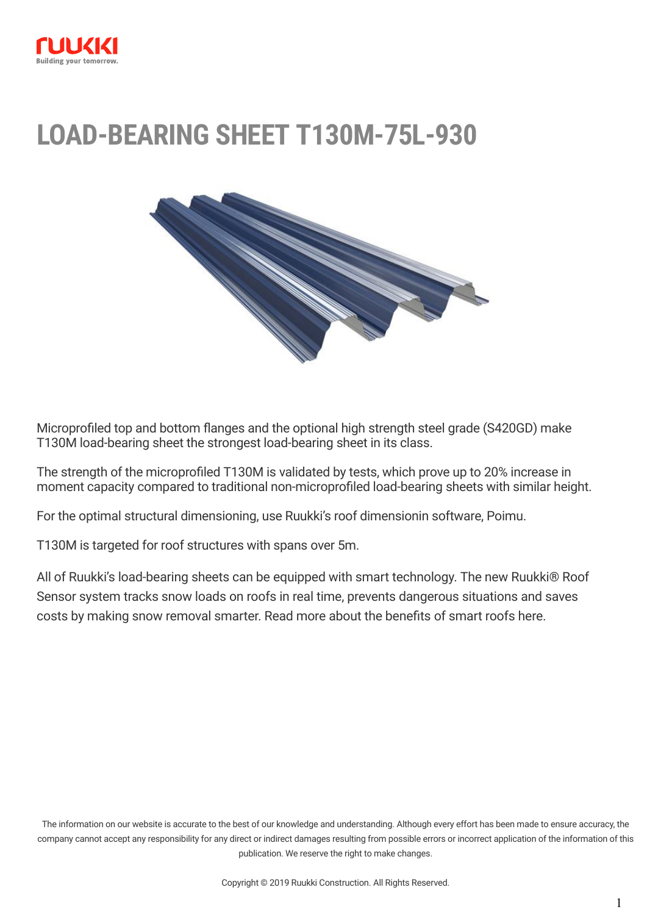

# **LOAD-BEARING SHEET T130M-75L-930**



Microprofiled top and bottom flanges and the optional high strength steel grade (S420GD) make T130M load-bearing sheet the strongest load-bearing sheet in its class.

The strength of the microprofiled T130M is validated by tests, which prove up to 20% increase in moment capacity compared to traditional non-microprofiled load-bearing sheets with similar height.

For the optimal structural dimensioning, use Ruukki's roof dimensionin software, [Poimu](http://software.ruukki.com/PublishedService?file=page&pageID=9&itemcode=1-1-3-1).

T130M is targeted for roof structures with spans over 5m.

All of Ruukki's load-bearing sheets can be equipped with smart technology. The new [Ruukki® Roof](https://www.ruukki.com/b2b/products/load-bearing-profiles/load-bearing-sheets/ruukki-roof-sensor) [Sensor system](https://www.ruukki.com/b2b/products/load-bearing-profiles/load-bearing-sheets/ruukki-roof-sensor) tracks snow loads on roofs in real time, prevents dangerous situations and saves costs by making snow removal smarter. Read more about the benefits of smart roofs [here.](https://www.ruukki.com/b2b/products/load-bearing-profiles/load-bearing-sheets/ruukki-roof-sensor)

The information on our website is accurate to the best of our knowledge and understanding. Although every effort has been made to ensure accuracy, the company cannot accept any responsibility for any direct or indirect damages resulting from possible errors or incorrect application of the information of this publication. We reserve the right to make changes.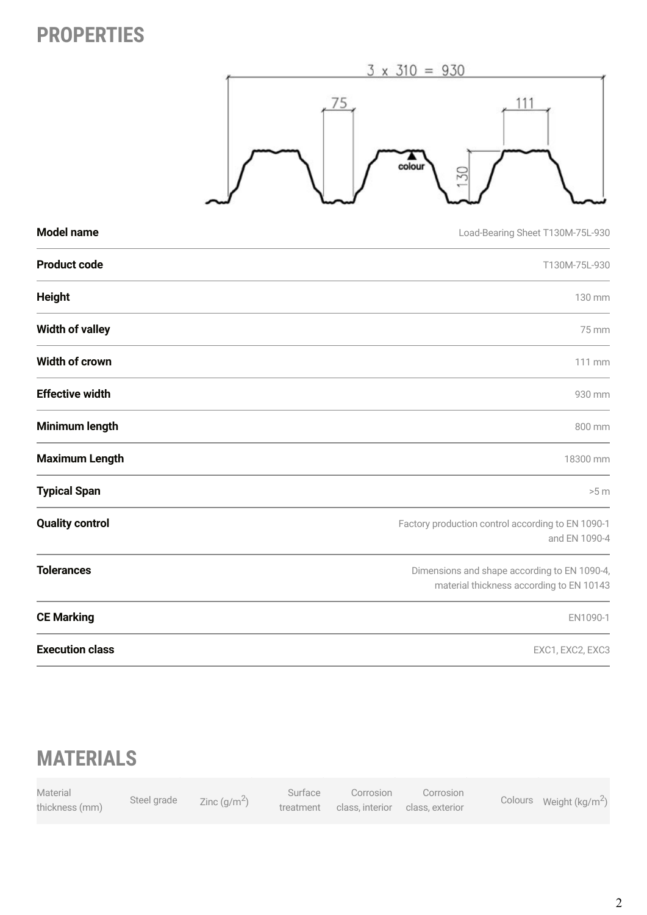## **PROPERTIES**



| <b>Model name</b>      | Load-Bearing Sheet T130M-75L-930                                                         |
|------------------------|------------------------------------------------------------------------------------------|
| <b>Product code</b>    | T130M-75L-930                                                                            |
| <b>Height</b>          | 130 mm                                                                                   |
| <b>Width of valley</b> | 75 mm                                                                                    |
| Width of crown         | 111 mm                                                                                   |
| <b>Effective width</b> | 930 mm                                                                                   |
| <b>Minimum length</b>  | 800 mm                                                                                   |
| <b>Maximum Length</b>  | 18300 mm                                                                                 |
| <b>Typical Span</b>    | >5 m                                                                                     |
| <b>Quality control</b> | Factory production control according to EN 1090-1<br>and EN 1090-4                       |
| <b>Tolerances</b>      | Dimensions and shape according to EN 1090-4,<br>material thickness according to EN 10143 |
| <b>CE Marking</b>      | EN1090-1                                                                                 |
| <b>Execution class</b> | EXC1, EXC2, EXC3                                                                         |

## **MATERIALS**

| Material       | Steel grade |                | Surface   | Corrosion                     | Corrosion |                                    |
|----------------|-------------|----------------|-----------|-------------------------------|-----------|------------------------------------|
| thickness (mm) |             | Zinc $(q/m^2)$ | treatment | class interior class exterior |           | Colours Weight ( $\text{kg/m}^2$ ) |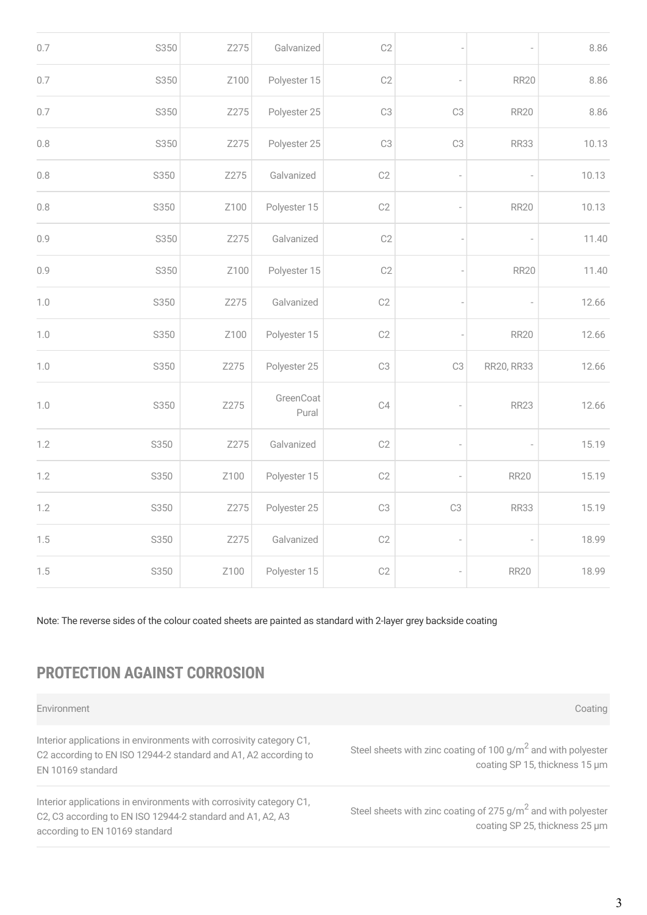| 0.7     | S350 | Z275 | Galvanized         | C2             |                |                          | 8.86  |
|---------|------|------|--------------------|----------------|----------------|--------------------------|-------|
| $0.7\,$ | S350 | Z100 | Polyester 15       | C <sub>2</sub> | $\overline{a}$ | <b>RR20</b>              | 8.86  |
| 0.7     | S350 | Z275 | Polyester 25       | C <sub>3</sub> | C <sub>3</sub> | <b>RR20</b>              | 8.86  |
| 0.8     | S350 | Z275 | Polyester 25       | C <sub>3</sub> | C <sub>3</sub> | <b>RR33</b>              | 10.13 |
| 0.8     | S350 | Z275 | Galvanized         | C2             |                | $\overline{a}$           | 10.13 |
| 0.8     | S350 | Z100 | Polyester 15       | C2             |                | <b>RR20</b>              | 10.13 |
| 0.9     | S350 | Z275 | Galvanized         | C2             |                | $\overline{a}$           | 11.40 |
| 0.9     | S350 | Z100 | Polyester 15       | C2             |                | <b>RR20</b>              | 11.40 |
| $1.0$   | S350 | Z275 | Galvanized         | C2             |                | $\overline{\phantom{a}}$ | 12.66 |
| 1.0     | S350 | Z100 | Polyester 15       | C2             |                | <b>RR20</b>              | 12.66 |
| 1.0     | S350 | Z275 | Polyester 25       | C <sub>3</sub> | C <sub>3</sub> | RR20, RR33               | 12.66 |
| 1.0     | S350 | Z275 | GreenCoat<br>Pural | C4             |                | <b>RR23</b>              | 12.66 |
| 1.2     | S350 | Z275 | Galvanized         | C2             |                | i,                       | 15.19 |
| 1.2     | S350 | Z100 | Polyester 15       | C2             |                | <b>RR20</b>              | 15.19 |
| 1.2     | S350 | Z275 | Polyester 25       | C <sub>3</sub> | C <sub>3</sub> | <b>RR33</b>              | 15.19 |
| 1.5     | S350 | Z275 | Galvanized         | C2             | $\overline{a}$ | $\label{eq:1}$           | 18.99 |
| 1.5     | S350 | Z100 | Polyester 15       | C2             | $\overline{a}$ | <b>RR20</b>              | 18.99 |

Note: The reverse sides of the colour coated sheets are painted as standard with 2-layer grey backside coating

## **PROTECTION AGAINST CORROSION**

| Environment                                                                                                                                                         | Coating                                                                                                     |
|---------------------------------------------------------------------------------------------------------------------------------------------------------------------|-------------------------------------------------------------------------------------------------------------|
| Interior applications in environments with corrosivity category C1,<br>C2 according to EN ISO 12944-2 standard and A1, A2 according to<br>EN 10169 standard         | Steel sheets with zinc coating of 100 g/m <sup>2</sup> and with polyester<br>coating SP 15, thickness 15 um |
| Interior applications in environments with corrosivity category C1,<br>C2, C3 according to EN ISO 12944-2 standard and A1, A2, A3<br>according to EN 10169 standard | Steel sheets with zinc coating of $275 g/m2$ and with polyester<br>coating SP 25, thickness 25 µm           |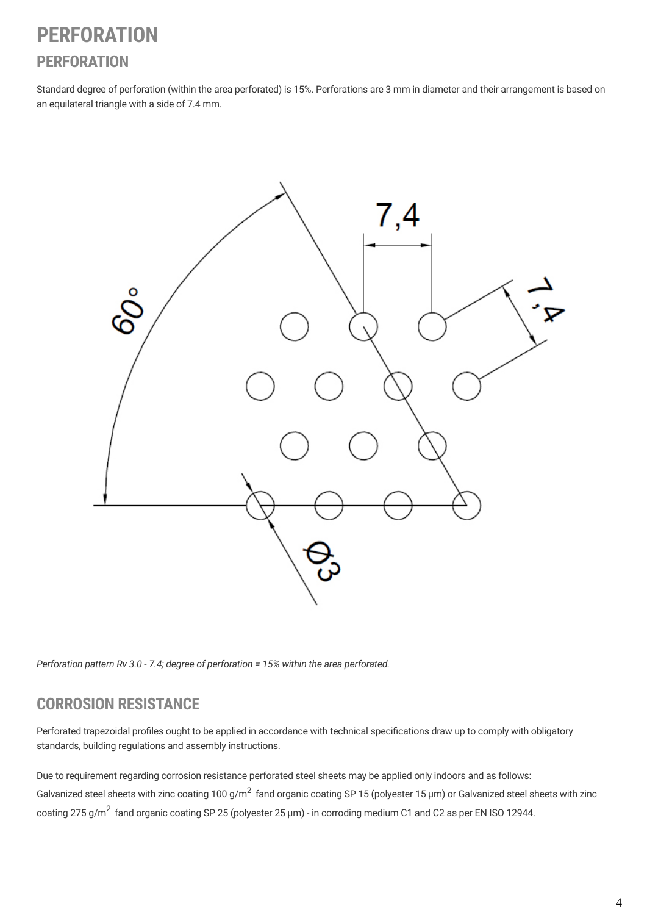## **PERFORATION PERFORATION**

Standard degree of perforation (within the area perforated) is 15%. Perforations are 3 mm in diameter and their arrangement is based on an equilateral triangle with a side of 7.4 mm.



*Perforation pattern Rv 3.0 - 7.4; degree of perforation = 15% within the area perforated.*

### **CORROSION RESISTANCE**

Perforated trapezoidal profiles ought to be applied in accordance with technical specifications draw up to comply with obligatory standards, building regulations and assembly instructions.

Due to requirement regarding corrosion resistance perforated steel sheets may be applied only indoors and as follows: Galvanized steel sheets with zinc coating 100 g/m<sup>2</sup> fand organic coating SP 15 (polyester 15 µm) or Galvanized steel sheets with zinc coating 275 g/m<sup>2</sup> fand organic coating SP 25 (polyester 25 µm) - in corroding medium C1 and C2 as per EN ISO 12944.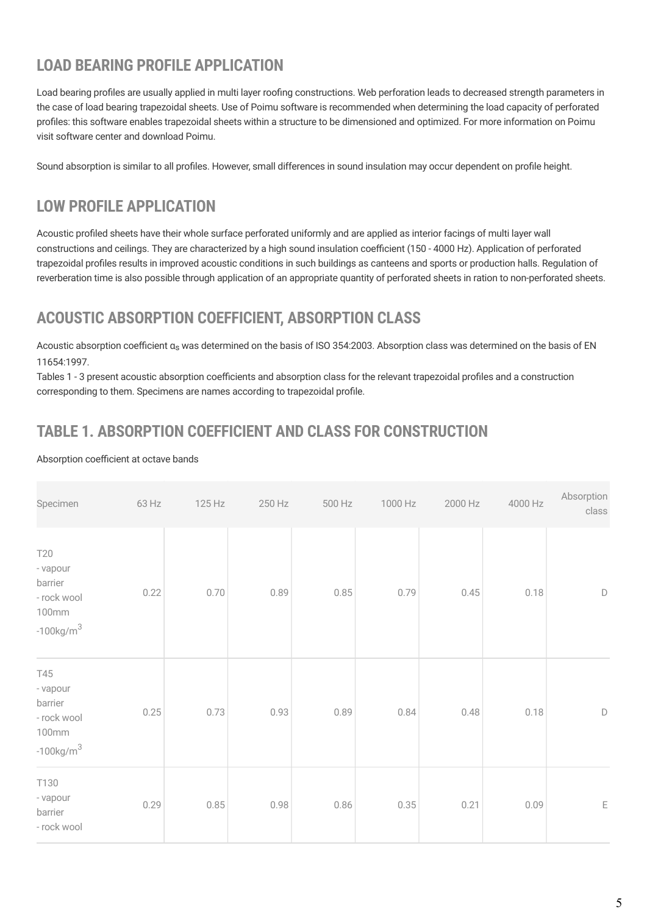## **LOAD BEARING PROFILE APPLICATION**

Load bearing profiles are usually applied in multi layer roofing constructions. Web perforation leads to decreased strength parameters in the case of load bearing trapezoidal sheets. Use of Poimu software is recommended when determining the load capacity of perforated profiles: this software enables trapezoidal sheets within a structure to be dimensioned and optimized. For more information on Poimu visit software center and [download Poimu](http://software.ruukki.com/PublishedService?file=page&pageID=9&itemcode=1-1-3-1).

Sound absorption is similar to all profiles. However, small differences in sound insulation may occur dependent on profile height.

## **LOW PROFILE APPLICATION**

Acoustic profiled sheets have their whole surface perforated uniformly and are applied as interior facings of multi layer wall constructions and ceilings. They are characterized by a high sound insulation coefficient (150 - 4000 Hz). Application of perforated trapezoidal profiles results in improved acoustic conditions in such buildings as canteens and sports or production halls. Regulation of reverberation time is also possible through application of an appropriate quantity of perforated sheets in ration to non-perforated sheets.

## **ACOUSTIC ABSORPTION COEFFICIENT, ABSORPTION CLASS**

Acoustic absorption coefficient α<sub>s</sub> was determined on the basis of ISO 354:2003. Absorption class was determined on the basis of EN 11654:1997.

Tables 1 - 3 present acoustic absorption coefficients and absorption class for the relevant trapezoidal profiles and a construction corresponding to them. Specimens are names according to trapezoidal profile.

## **TABLE 1. ABSORPTION COEFFICIENT AND CLASS FOR CONSTRUCTION**

#### Absorption coefficient at octave bands

| Specimen                                                                      | 63 Hz | 125 Hz | 250 Hz | 500 Hz | 1000 Hz | 2000 Hz | 4000 Hz | Absorption<br>class |
|-------------------------------------------------------------------------------|-------|--------|--------|--------|---------|---------|---------|---------------------|
| <b>T20</b><br>- vapour<br>barrier<br>- rock wool<br>100mm<br>$-100$ kg/m $^3$ | 0.22  | 0.70   | 0.89   | 0.85   | 0.79    | 0.45    | 0.18    | $\mathsf D$         |
| T45<br>- vapour<br>barrier<br>- rock wool<br>100mm<br>$-100$ kg/m $^3$        | 0.25  | 0.73   | 0.93   | 0.89   | 0.84    | 0.48    | 0.18    | $\mathsf D$         |
| T130<br>- vapour<br>barrier<br>- rock wool                                    | 0.29  | 0.85   | 0.98   | 0.86   | 0.35    | 0.21    | 0.09    | $\mathsf{E}% _{0}$  |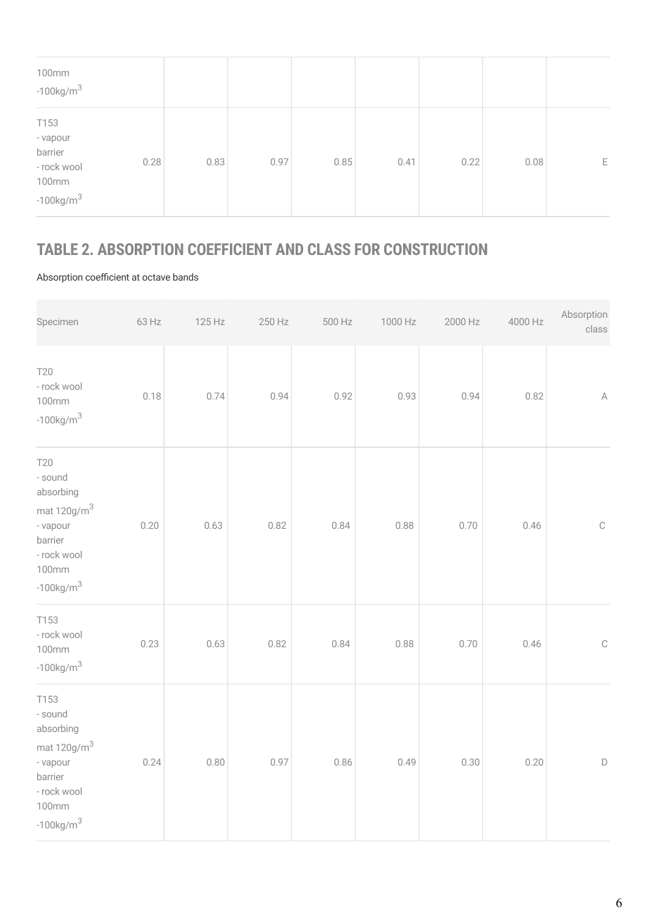| 100mm<br>$-100$ kg/m $^3$                                                       |      |      |      |      |      |      |   |
|---------------------------------------------------------------------------------|------|------|------|------|------|------|---|
| T153<br>- vapour<br>barrier<br>0.28<br>- rock wool<br>100mm<br>$-100$ kg/m $^3$ | 0.83 | 0.97 | 0.85 | 0.41 | 0.22 | 0.08 | Е |

## **TABLE 2. ABSORPTION COEFFICIENT AND CLASS FOR CONSTRUCTION**

#### Absorption coefficient at octave bands

| Specimen                                                                                                                         | 63 Hz | 125 Hz | 250 Hz | 500 Hz | 1000 Hz | 2000 Hz | 4000 Hz | Absorption<br>class |
|----------------------------------------------------------------------------------------------------------------------------------|-------|--------|--------|--------|---------|---------|---------|---------------------|
| <b>T20</b><br>- rock wool<br>100mm<br>$-100$ kg/m $^{3}$                                                                         | 0.18  | 0.74   | 0.94   | 0.92   | 0.93    | 0.94    | 0.82    | $\mathbb A$         |
| <b>T20</b><br>- sound<br>absorbing<br>mat 120g/m <sup>3</sup><br>- vapour<br>barrier<br>- rock wool<br>100mm<br>$-100$ kg/m $^3$ | 0.20  | 0.63   | 0.82   | 0.84   | 0.88    | 0.70    | 0.46    | $\mathbb{C}$        |
| T153<br>- rock wool<br>100mm<br>$-100$ kg/m $^{3}$                                                                               | 0.23  | 0.63   | 0.82   | 0.84   | 0.88    | 0.70    | 0.46    | $\mathbb{C}$        |
| T153<br>- sound<br>absorbing<br>mat $120$ g/m $^3$<br>- vapour<br>barrier<br>- rock wool<br>100mm<br>$-100$ kg/m $^{3}$          | 0.24  | 0.80   | 0.97   | 0.86   | 0.49    | 0.30    | 0.20    | $\mathsf D$         |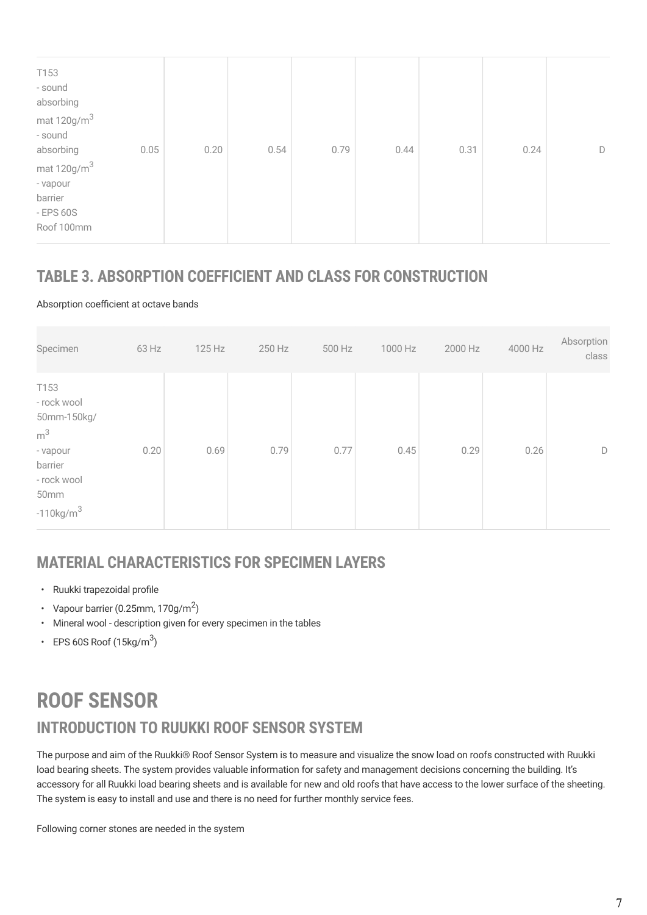| T153<br>- sound<br>absorbing                                           |      |      |      |      |      |      |   |
|------------------------------------------------------------------------|------|------|------|------|------|------|---|
| mat $120$ g/m $^3$<br>- sound<br>absorbing<br>0.05                     | 0.20 | 0.54 | 0.79 | 0.44 | 0.31 | 0.24 | D |
| mat $120$ g/m $^3$<br>- vapour<br>barrier<br>$-$ EPS 60S<br>Roof 100mm |      |      |      |      |      |      |   |

### **TABLE 3. ABSORPTION COEFFICIENT AND CLASS FOR CONSTRUCTION**

#### Absorption coefficient at octave bands

| Specimen                                                                                                                 | 63 Hz | 125 Hz | 250 Hz | 500 Hz | 1000 Hz | 2000 Hz | 4000 Hz | Absorption<br>class |
|--------------------------------------------------------------------------------------------------------------------------|-------|--------|--------|--------|---------|---------|---------|---------------------|
| T153<br>- rock wool<br>50mm-150kg/<br>m <sup>3</sup><br>- vapour<br>barrier<br>- rock wool<br>50mm<br>$-110$ kg/m $^{3}$ | 0.20  | 0.69   | 0.79   | 0.77   | 0.45    | 0.29    | 0.26    | D                   |

## **MATERIAL CHARACTERISTICS FOR SPECIMEN LAYERS**

- Ruukki trapezoidal profile
- Vapour barrier (0.25mm, 170g/m<sup>2</sup>)
- Mineral wool description given for every specimen in the tables
- EPS 60S Roof  $(15\text{kg/m}^3)$

## **INTRODUCTION TO RUUKKI ROOF SENSOR SYSTEM ROOF SENSOR**

The purpose and aim of the Ruukki® Roof Sensor System is to measure and visualize the snow load on roofs constructed with Ruukki load bearing sheets. The system provides valuable information for safety and management decisions concerning the building. It's accessory for all Ruukki load bearing sheets and is available for new and old roofs that have access to the lower surface of the sheeting. The system is easy to install and use and there is no need for further monthly service fees.

Following corner stones are needed in the system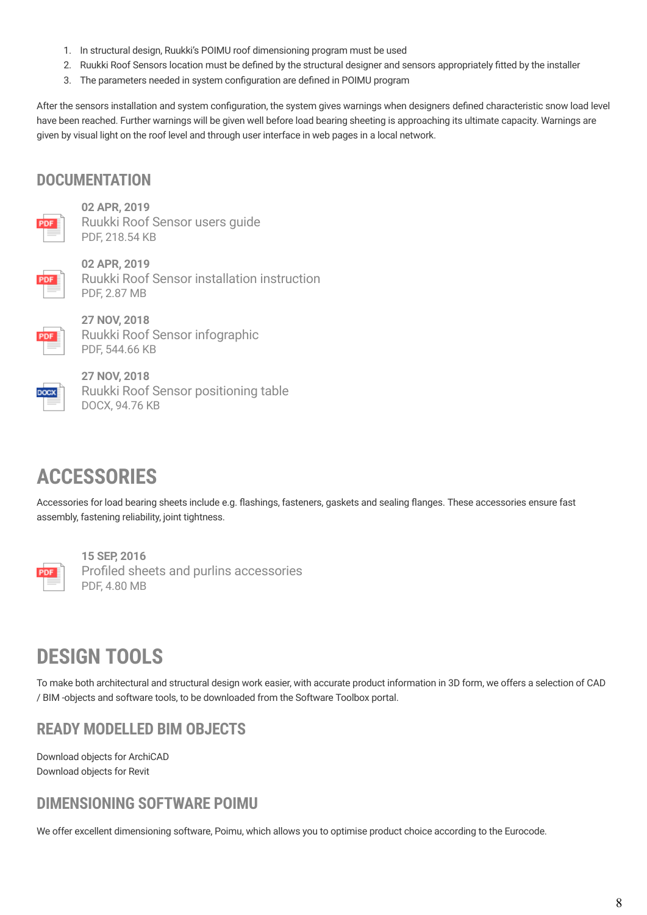- 1. In structural design, [Ruukki's POIMU roof dimensioning program](https://software.ruukki.com/PublishedService?file=page&pageID=9&itemcode=1-1-3-1) must be used
- 2. Ruukki Roof Sensors location must be defined by the structural designer and sensors appropriately fitted by the installer
- 3. The parameters needed in system configuration are defined in POIMU program

After the sensors installation and system configuration, the system gives warnings when designers defined characteristic snow load level have been reached. Further warnings will be given well before load bearing sheeting is approaching its ultimate capacity. Warnings are given by visual light on the roof level and through user interface in web pages in a local network.

### **DOCUMENTATION**



**02 APR, 2019** [Ruukki Roof Sensor users guide](https://cdn.ruukki.com/docs/default-source/b2b-documents/load-bearing-sheets/roof-sensor/ruukki_roof_sensor_users_guide_en.pdf?sfvrsn=42d3ab85_4) PDF, 218.54 KB



**02 APR, 2019** [Ruukki Roof Sensor installation instruction](https://cdn.ruukki.com/docs/default-source/b2b-documents/load-bearing-sheets/roof-sensor/ruukki-roof-sensor_installation_instruction_en_02042019.pdf?sfvrsn=63dcab85_14) PDF, 2.87 MB



**27 NOV, 2018** [Ruukki Roof Sensor infographic](https://cdn.ruukki.com/docs/default-source/b2b-documents/load-bearing-sheets/roof-sensor/ruukki_roof_sensor_infographic_en.pdf?sfvrsn=6817e685_12) PDF, 544.66 KB

**27 NOV, 2018** [Ruukki Roof Sensor positioning table](https://cdn.ruukki.com/docs/default-source/b2b-documents/load-bearing-sheets/roof-sensor/ruukki-roof-sensor-positioning-table.docx?sfvrsn=8916e685_16) DOCX, 94.76 KB

## **ACCESSORIES**

Accessories for load bearing sheets include e.g. flashings, fasteners, gaskets and sealing flanges. These accessories ensure fast assembly, fastening reliability, joint tightness.



**15 SEP, 2016** [Profiled sheets and purlins accessories](https://cdn.ruukki.com/docs/default-source/b2b-documents/load-bearing-sheets/en_profiled_sheets_and_purlins_accessories_11_2016-(1).pdf?sfvrsn=71e8f84_38) PDF, 4.80 MB

## **DESIGN TOOLS**

To make both architectural and structural design work easier, with accurate product information in 3D form, we offers a selection of CAD / BIM -objects and software tools, to be downloaded from the Software Toolbox portal.

### **READY MODELLED BIM OBJECTS**

[Download objects for ArchiCAD](https://software.ruukki.com/PublishedService?file=&pageID=3&action=view&groupID=330&OpenGroups=330) [Download objects for Revit](https://software.ruukki.com/PublishedService?file=&pageID=3&action=view&groupID=336&OpenGroups=336)

### **DIMENSIONING SOFTWARE POIMU**

We offer excellent dimensioning software, Poimu, which allows you to optimise product choice according to the Eurocode.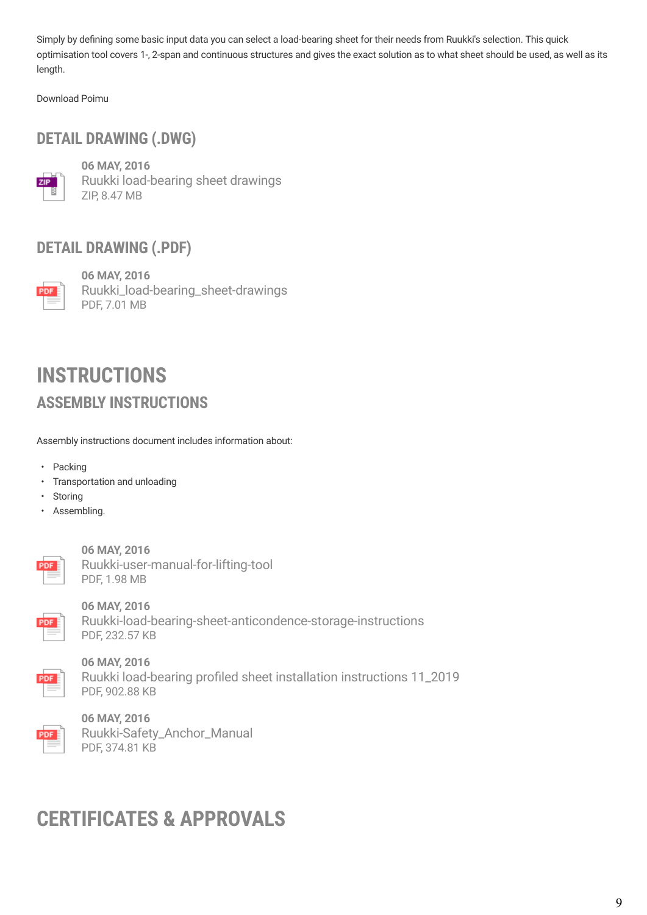Simply by defining some basic input data you can select a load-bearing sheet for their needs from Ruukki's selection. This quick optimisation tool covers 1-, 2-span and continuous structures and gives the exact solution as to what sheet should be used, as well as its length.

[Download Poimu](http://software.ruukki.com/PublishedService?file=page&pageID=9&itemcode=1-1-3-1)

### **DETAIL DRAWING (.DWG)**



**06 MAY, 2016** [Ruukki load-bearing sheet drawings](https://cdn.ruukki.com/docs/default-source/b2b-documents/load-bearing-sheets/load-bearing-sheets/ruukki-load-bearing-sheet-drawings.zip?sfvrsn=fd63f584_20) ZIP, 8.47 MB

### **DETAIL DRAWING (.PDF)**



**06 MAY, 2016** [Ruukki\\_load-bearing\\_sheet-drawings](https://cdn.ruukki.com/docs/default-source/b2b-documents/load-bearing-sheets/load-bearing-sheets/ruukki_load-bearing_sheet-drawings.pdf?sfvrsn=1463f584_20) PDF, 7.01 MB

## **ASSEMBLY INSTRUCTIONS INSTRUCTIONS**

Assembly instructions document includes information about:

- Packing
- Transportation and unloading
- Storing
- Assembling.



**06 MAY, 2016** [Ruukki-user-manual-for-lifting-tool](https://cdn.ruukki.com/docs/default-source/b2b-documents/load-bearing-sheets/load-bearing-sheets/ruukki-user-manual-for-lifting-tool.pdf?sfvrsn=7c63f584_16) PDF, 1.98 MB



**06 MAY, 2016** [Ruukki-load-bearing-sheet-anticondence-storage-instructions](https://cdn.ruukki.com/docs/default-source/b2b-documents/load-bearing-sheets/load-bearing-sheets/ruukki-load-bearing-sheet-anticondence-storage-instructions.pdf?sfvrsn=5863f584_18) PDF, 232.57 KB



**06 MAY, 2016** [Ruukki load-bearing profiled sheet installation instructions 11\\_2019](https://cdn.ruukki.com/docs/default-source/b2b-documents/load-bearing-sheets/load-bearing-sheets/ruukki-load-bearing-profiled-sheet-installation-instructions.pdf?sfvrsn=4a63f584_18) PDF, 902.88 KB



**06 MAY, 2016** [Ruukki-Safety\\_Anchor\\_Manual](https://cdn.ruukki.com/docs/default-source/b2b-documents/load-bearing-sheets/load-bearing-sheets/safety-anchor-instructions-for-use.pdf?sfvrsn=6e63f584_18) PDF, 374.81 KB

## **CERTIFICATES & APPROVALS**